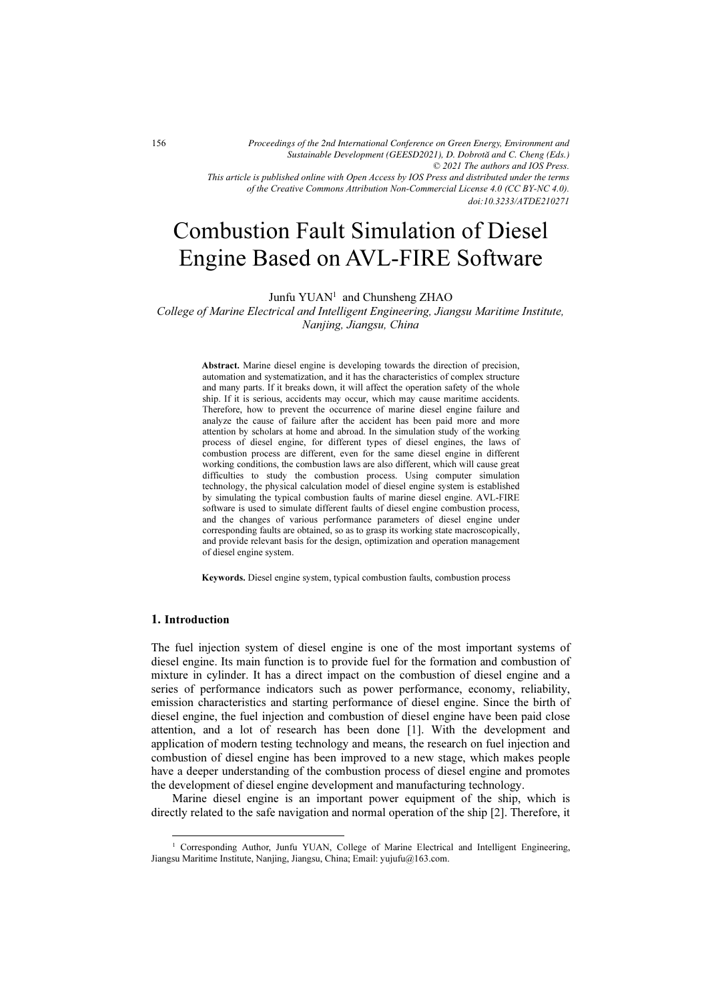*© 2021 The authors and IOS Press. This article is published online with Open Access by IOS Press and distributed under the terms of the Creative Commons Attribution Non-Commercial License 4.0 (CC BY-NC 4.0). Proceedings of the 2nd International Conference on Green Energy, Environment and Sustainable Development (GEESD2021), D. Dobrota˘ and C. Cheng (Eds.)*

# Combustion Fault Simulation of Diesel Engine Based on AVL-FIRE Software

Junfu YUAN<sup>1</sup> and Chunsheng ZHAO

College of Marine Electrical and Intelligent Engineering, Jiangsu Maritime Institute, Nanjing, Jiangsu, China

> Abstract. Marine diesel engine is developing towards the direction of precision, automation and systematization, and it has the characteristics of complex structure and many parts. If it breaks down, it will affect the operation safety of the whole ship. If it is serious, accidents may occur, which may cause maritime accidents. Therefore, how to prevent the occurrence of marine diesel engine failure and analyze the cause of failure after the accident has been paid more and more attention by scholars at home and abroad. In the simulation study of the working process of diesel engine, for different types of diesel engines, the laws of combustion process are different, even for the same diesel engine in different working conditions, the combustion laws are also different, which will cause great difficulties to study the combustion process. Using computer simulation technology, the physical calculation model of diesel engine system is established by simulating the typical combustion faults of marine diesel engine. AVL-FIRE software is used to simulate different faults of diesel engine combustion process, and the changes of various performance parameters of diesel engine under corresponding faults are obtained, so as to grasp its working state macroscopically, and provide relevant basis for the design, optimization and operation management of diesel engine system.

Keywords. Diesel engine system, typical combustion faults, combustion process

#### 1. Introduction

The fuel injection system of diesel engine is one of the most important systems of diesel engine. Its main function is to provide fuel for the formation and combustion of mixture in cylinder. It has a direct impact on the combustion of diesel engine and a series of performance indicators such as power performance, economy, reliability, emission characteristics and starting performance of diesel engine. Since the birth of diesel engine, the fuel injection and combustion of diesel engine have been paid close attention, and a lot of research has been done [1]. With the development and application of modern testing technology and means, the research on fuel injection and combustion of diesel engine has been improved to a new stage, which makes people have a deeper understanding of the combustion process of diesel engine and promotes the development of diesel engine development and manufacturing technology.

Marine diesel engine is an important power equipment of the ship, which is directly related to the safe navigation and normal operation of the ship [2]. Therefore, it

*doi:10.3233/ATDE210271*

<sup>&</sup>lt;sup>1</sup> Corresponding Author, Junfu YUAN, College of Marine Electrical and Intelligent Engineering, Jiangsu Maritime Institute, Nanjing, Jiangsu, China; Email: yujufu@163.com.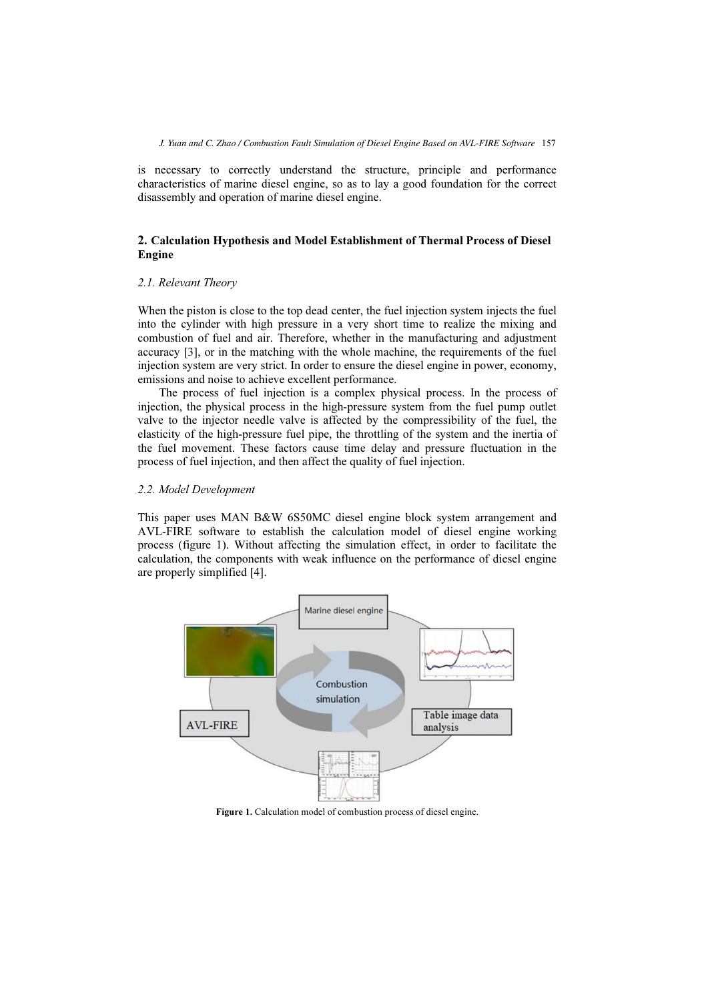is necessary to correctly understand the structure, principle and performance characteristics of marine diesel engine, so as to lay a good foundation for the correct disassembly and operation of marine diesel engine.

## 2. Calculation Hypothesis and Model Establishment of Thermal Process of Diesel Engine

## 2.1. Relevant Theory

When the piston is close to the top dead center, the fuel injection system injects the fuel into the cylinder with high pressure in a very short time to realize the mixing and combustion of fuel and air. Therefore, whether in the manufacturing and adjustment accuracy [3], or in the matching with the whole machine, the requirements of the fuel injection system are very strict. In order to ensure the diesel engine in power, economy, emissions and noise to achieve excellent performance.

The process of fuel injection is a complex physical process. In the process of injection, the physical process in the high-pressure system from the fuel pump outlet valve to the injector needle valve is affected by the compressibility of the fuel, the elasticity of the high-pressure fuel pipe, the throttling of the system and the inertia of the fuel movement. These factors cause time delay and pressure fluctuation in the process of fuel injection, and then affect the quality of fuel injection.

#### 2.2. Model Development

This paper uses MAN B&W 6S50MC diesel engine block system arrangement and AVL-FIRE software to establish the calculation model of diesel engine working process (figure 1). Without affecting the simulation effect, in order to facilitate the calculation, the components with weak influence on the performance of diesel engine are properly simplified [4].



Figure 1. Calculation model of combustion process of diesel engine.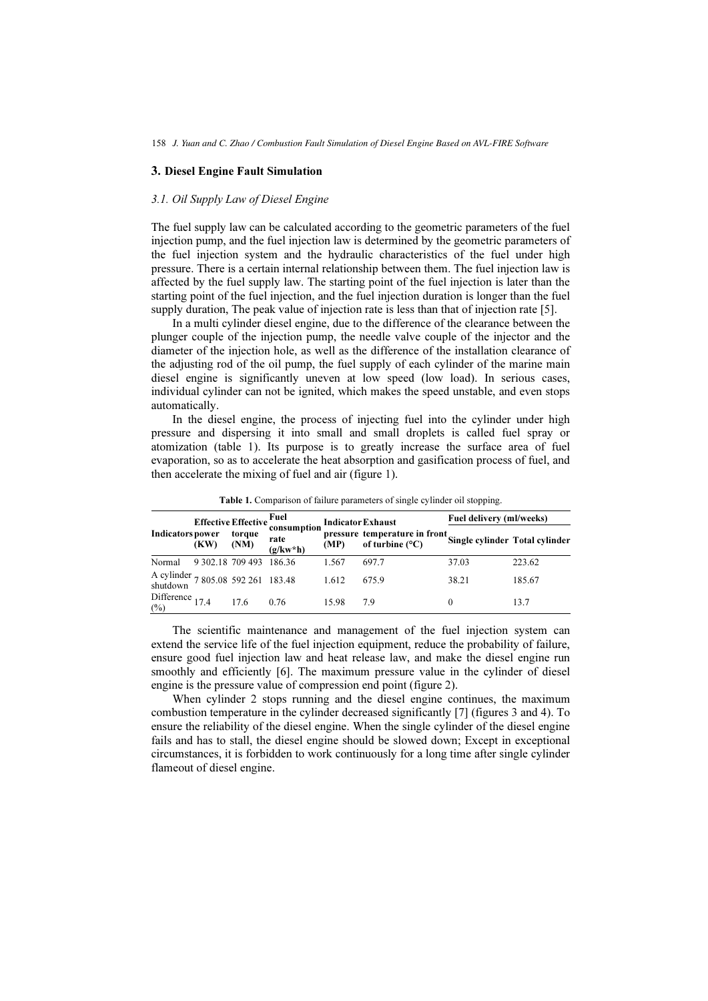#### 3. Diesel Engine Fault Simulation

### 3.1. Oil Supply Law of Diesel Engine

The fuel supply law can be calculated according to the geometric parameters of the fuel injection pump, and the fuel injection law is determined by the geometric parameters of the fuel injection system and the hydraulic characteristics of the fuel under high pressure. There is a certain internal relationship between them. The fuel injection law is affected by the fuel supply law. The starting point of the fuel injection is later than the starting point of the fuel injection, and the fuel injection duration is longer than the fuel supply duration, The peak value of injection rate is less than that of injection rate [5].

In a multi cylinder diesel engine, due to the difference of the clearance between the plunger couple of the injection pump, the needle valve couple of the injector and the diameter of the injection hole, as well as the difference of the installation clearance of the adjusting rod of the oil pump, the fuel supply of each cylinder of the marine main diesel engine is significantly uneven at low speed (low load). In serious cases, individual cylinder can not be ignited, which makes the speed unstable, and even stops automatically.

In the diesel engine, the process of injecting fuel into the cylinder under high pressure and dispersing it into small and small droplets is called fuel spray or atomization (table 1). Its purpose is to greatly increase the surface area of fuel evaporation, so as to accelerate the heat absorption and gasification process of fuel, and then accelerate the mixing of fuel and air (figure 1).

| <b>Indicators power</b>                        |                  | Effective Effective | Fuel<br>consumption<br>rate<br>$(g/kw^*h)$ | <b>Indicator Exhaust</b> |                                                           | Fuel delivery (ml/weeks)       |        |
|------------------------------------------------|------------------|---------------------|--------------------------------------------|--------------------------|-----------------------------------------------------------|--------------------------------|--------|
|                                                | (KW)             | torque<br>(NM)      |                                            | (MP)                     | pressure temperature in front<br>of turbine $(^{\circ}C)$ | Single cylinder Total cylinder |        |
| Normal                                         | 9 302.18 709 493 |                     | - 186.36                                   | 1.567                    | 697.7                                                     | 37.03                          | 223.62 |
| A cylinder 7 805.08 592 261 183.48<br>shutdown |                  |                     |                                            | 1.612                    | 675.9                                                     | 38.21                          | 185.67 |
| Difference 17.4<br>(%)                         |                  | 17.6                | 0.76                                       | 15.98                    | 79                                                        |                                | 13.7   |

Table 1. Comparison of failure parameters of single cylinder oil stopping.

The scientific maintenance and management of the fuel injection system can extend the service life of the fuel injection equipment, reduce the probability of failure, ensure good fuel injection law and heat release law, and make the diesel engine run smoothly and efficiently [6]. The maximum pressure value in the cylinder of diesel engine is the pressure value of compression end point (figure 2).

When cylinder 2 stops running and the diesel engine continues, the maximum combustion temperature in the cylinder decreased significantly [7] (figures 3 and 4). To ensure the reliability of the diesel engine. When the single cylinder of the diesel engine fails and has to stall, the diesel engine should be slowed down; Except in exceptional circumstances, it is forbidden to work continuously for a long time after single cylinder flameout of diesel engine.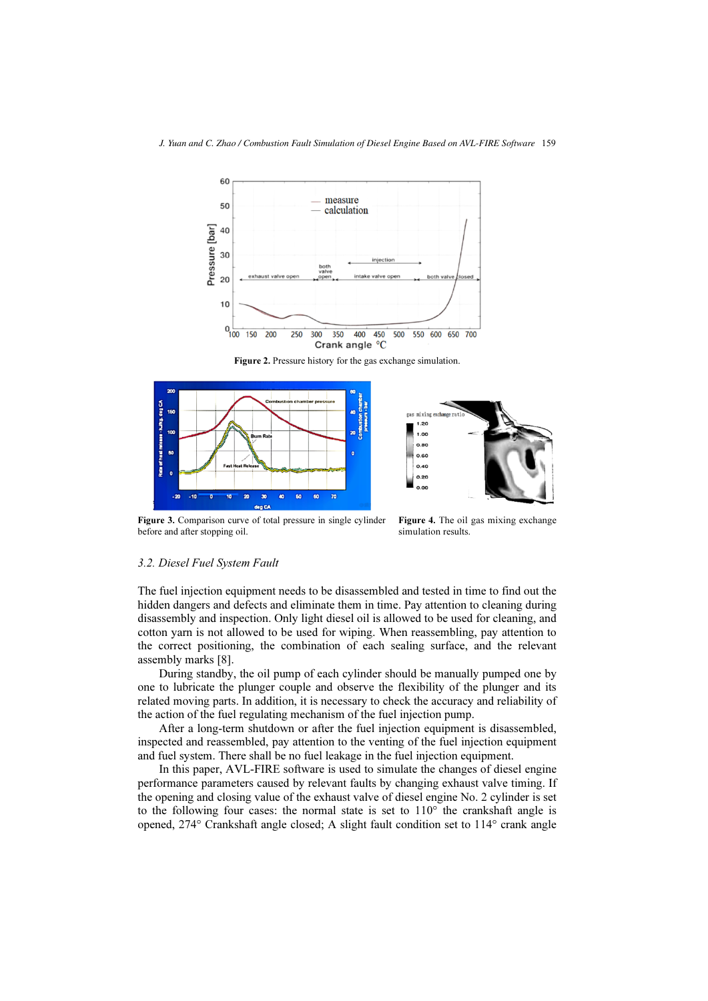

Figure 2. Pressure history for the gas exchange simulation.





Figure 3. Comparison curve of total pressure in single cylinder before and after stopping oil.

Figure 4. The oil gas mixing exchange simulation results.

### 3.2. Diesel Fuel System Fault

The fuel injection equipment needs to be disassembled and tested in time to find out the hidden dangers and defects and eliminate them in time. Pay attention to cleaning during disassembly and inspection. Only light diesel oil is allowed to be used for cleaning, and cotton yarn is not allowed to be used for wiping. When reassembling, pay attention to the correct positioning, the combination of each sealing surface, and the relevant assembly marks [8].

During standby, the oil pump of each cylinder should be manually pumped one by one to lubricate the plunger couple and observe the flexibility of the plunger and its related moving parts. In addition, it is necessary to check the accuracy and reliability of the action of the fuel regulating mechanism of the fuel injection pump.

After a long-term shutdown or after the fuel injection equipment is disassembled, inspected and reassembled, pay attention to the venting of the fuel injection equipment and fuel system. There shall be no fuel leakage in the fuel injection equipment.

In this paper, AVL-FIRE software is used to simulate the changes of diesel engine performance parameters caused by relevant faults by changing exhaust valve timing. If the opening and closing value of the exhaust valve of diesel engine No. 2 cylinder is set to the following four cases: the normal state is set to  $110^{\circ}$  the crankshaft angle is opened, 274° Crankshaft angle closed; A slight fault condition set to 114° crank angle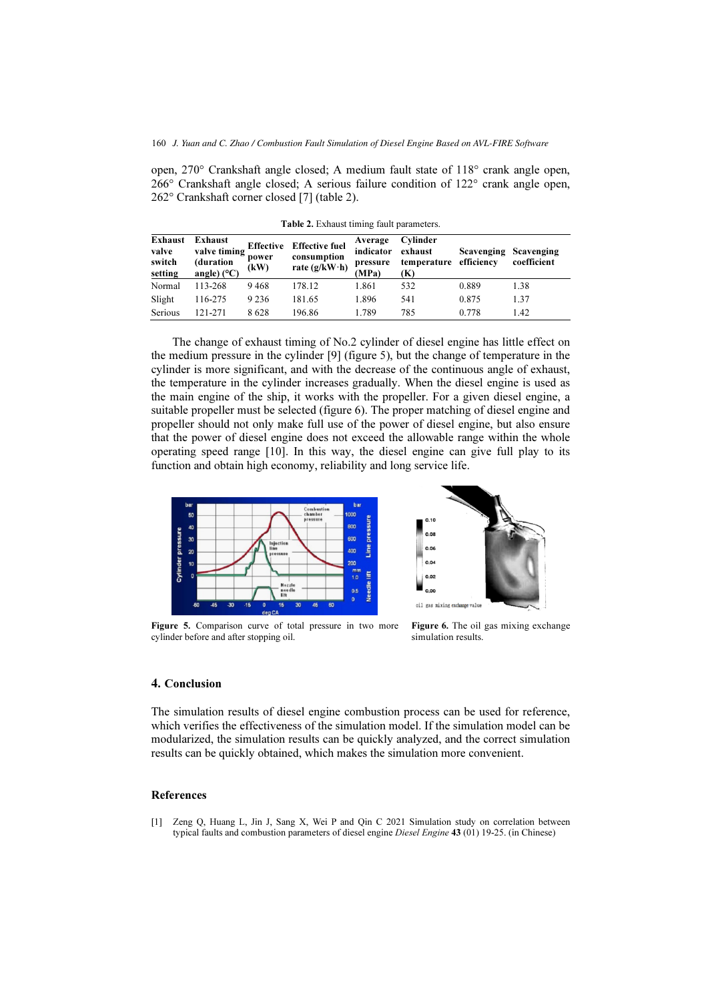open, 270° Crankshaft angle closed; A medium fault state of 118° crank angle open, 266° Crankshaft angle closed; A serious failure condition of 122° crank angle open, 262° Crankshaft corner closed [7] (table 2).

| Exhaust<br>valve<br>switch<br>setting | Exhaust<br>valve timing<br>(duration<br>angle) $(^{\circ}C)$ | Effective<br>power<br>(kW) | <b>Effective fuel</b><br>consumption<br>rate $(g/kW \cdot h)$ | Average<br>indicator<br>pressure<br>(MPa) | Cylinder<br>exhaust<br>temperature efficiency<br>(K) | <b>Scavenging Scavenging</b> | coefficient |
|---------------------------------------|--------------------------------------------------------------|----------------------------|---------------------------------------------------------------|-------------------------------------------|------------------------------------------------------|------------------------------|-------------|
| Normal                                | 113-268                                                      | 9468                       | 178.12                                                        | 1.861                                     | 532                                                  | 0.889                        | 1.38        |
| Slight                                | 116-275                                                      | 9 2 3 6                    | 181.65                                                        | 1.896                                     | 541                                                  | 0.875                        | 1.37        |
| Serious                               | 121-271                                                      | 8628                       | 196.86                                                        | 1.789                                     | 785                                                  | 0.778                        | 1.42        |

Table 2. Exhaust timing fault parameters.

The change of exhaust timing of No.2 cylinder of diesel engine has little effect on the medium pressure in the cylinder [9] (figure 5), but the change of temperature in the cylinder is more significant, and with the decrease of the continuous angle of exhaust, the temperature in the cylinder increases gradually. When the diesel engine is used as the main engine of the ship, it works with the propeller. For a given diesel engine, a suitable propeller must be selected (figure 6). The proper matching of diesel engine and propeller should not only make full use of the power of diesel engine, but also ensure that the power of diesel engine does not exceed the allowable range within the whole operating speed range [10]. In this way, the diesel engine can give full play to its function and obtain high economy, reliability and long service life.



Figure 5. Comparison curve of total pressure in two more cylinder before and after stopping oil.



Figure 6. The oil gas mixing exchange simulation results.

#### 4. Conclusion

The simulation results of diesel engine combustion process can be used for reference, which verifies the effectiveness of the simulation model. If the simulation model can be modularized, the simulation results can be quickly analyzed, and the correct simulation results can be quickly obtained, which makes the simulation more convenient.

#### References

[1] Zeng Q, Huang L, Jin J, Sang X, Wei P and Qin C 2021 Simulation study on correlation between typical faults and combustion parameters of diesel engine Diesel Engine 43 (01) 19-25. (in Chinese)